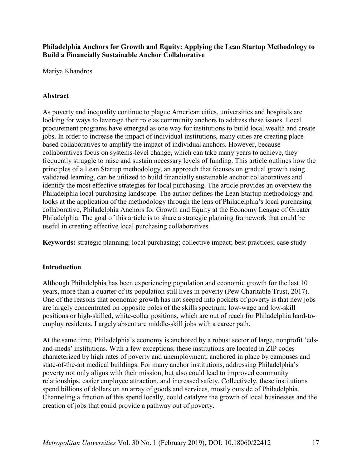**Philadelphia Anchors for Growth and Equity: Applying the Lean Startup Methodology to Build a Financially Sustainable Anchor Collaborative**

Mariya Khandros

## **Abstract**

As poverty and inequality continue to plague American cities, universities and hospitals are looking for ways to leverage their role as community anchors to address these issues. Local procurement programs have emerged as one way for institutions to build local wealth and create jobs. In order to increase the impact of individual institutions, many cities are creating placebased collaboratives to amplify the impact of individual anchors. However, because collaboratives focus on systems-level change, which can take many years to achieve, they frequently struggle to raise and sustain necessary levels of funding. This article outlines how the principles of a Lean Startup methodology, an approach that focuses on gradual growth using validated learning, can be utilized to build financially sustainable anchor collaboratives and identify the most effective strategies for local purchasing. The article provides an overview the Philadelphia local purchasing landscape. The author defines the Lean Startup methodology and looks at the application of the methodology through the lens of Philadelphia's local purchasing collaborative, Philadelphia Anchors for Growth and Equity at the Economy League of Greater Philadelphia. The goal of this article is to share a strategic planning framework that could be useful in creating effective local purchasing collaboratives.

**Keywords:** strategic planning; local purchasing; collective impact; best practices; case study

## **Introduction**

Although Philadelphia has been experiencing population and economic growth for the last 10 years, more than a quarter of its population still lives in poverty (Pew Charitable Trust, 2017). One of the reasons that economic growth has not seeped into pockets of poverty is that new jobs are largely concentrated on opposite poles of the skills spectrum: low-wage and low-skill positions or high-skilled, white-collar positions, which are out of reach for Philadelphia hard-toemploy residents. Largely absent are middle-skill jobs with a career path.

At the same time, Philadelphia's economy is anchored by a robust sector of large, nonprofit 'edsand-meds' institutions. With a few exceptions, these institutions are located in ZIP codes characterized by high rates of poverty and unemployment, anchored in place by campuses and state-of-the-art medical buildings. For many anchor institutions, addressing Philadelphia's poverty not only aligns with their mission, but also could lead to improved community relationships, easier employee attraction, and increased safety. Collectively, these institutions spend billions of dollars on an array of goods and services, mostly outside of Philadelphia. Channeling a fraction of this spend locally, could catalyze the growth of local businesses and the creation of jobs that could provide a pathway out of poverty.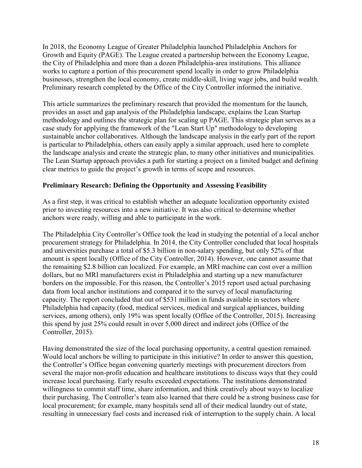In 2018, the Economy League of Greater Philadelphia launched Philadelphia Anchors for Growth and Equity (PAGE). The League created a partnership between the Economy League, the City of Philadelphia and more than a dozen Philadelphia-area institutions. This alliance works to capture a portion of this procurement spend locally in order to grow Philadelphia businesses, strengthen the local economy, create middle-skill, living wage jobs, and build wealth. Preliminary research completed by the Office of the City Controller informed the initiative.

This article summarizes the preliminary research that provided the momentum for the launch, provides an asset and gap analysis of the Philadelphia landscape, explains the Lean Startup methodology and outlines the strategic plan for scaling up PAGE. This strategic plan serves as a case study for applying the framework of the "Lean Start Up" methodology to developing sustainable anchor collaboratives. Although the landscape analysis in the early part of the report is particular to Philadelphia, others can easily apply a similar approach, used here to complete the landscape analysis and create the strategic plan, to many other initiatives and municipalities. The Lean Startup approach provides a path for starting a project on a limited budget and defining clear metrics to guide the project's growth in terms of scope and resources.

# **Preliminary Research: Defining the Opportunity and Assessing Feasibility**

As a first step, it was critical to establish whether an adequate localization opportunity existed prior to investing resources into a new initiative. It was also critical to determine whether anchors were ready, willing and able to participate in the work.

The Philadelphia City Controller's Office took the lead in studying the potential of a local anchor procurement strategy for Philadelphia. In 2014, the City Controller concluded that local hospitals and universities purchase a total of \$5.3 billion in non-salary spending, but only 52% of that amount is spent locally (Office of the City Controller, 2014). However, one cannot assume that the remaining \$2.8 billion can localized. For example, an MRI machine can cost over a million dollars, but no MRI manufacturers exist in Philadelphia and starting up a new manufacturer borders on the impossible. For this reason, the Controller's 2015 report used actual purchasing data from local anchor institutions and compared it to the survey of local manufacturing capacity. The report concluded that out of \$531 million in funds available in sectors where Philadelphia had capacity (food, medical services, medical and surgical appliances, building services, among others), only 19% was spent locally (Office of the Controller, 2015). Increasing this spend by just 25% could result in over 5,000 direct and indirect jobs (Office of the Controller, 2015).

Having demonstrated the size of the local purchasing opportunity, a central question remained. Would local anchors be willing to participate in this initiative? In order to answer this question, the Controller's Office began convening quarterly meetings with procurement directors from several the major non-profit education and healthcare institutions to discuss ways that they could increase local purchasing. Early results exceeded expectations. The institutions demonstrated willingness to commit staff time, share information, and think creatively about ways to localize their purchasing. The Controller's team also learned that there could be a strong business case for local procurement; for example, many hospitals send all of their medical laundry out of state, resulting in unnecessary fuel costs and increased risk of interruption to the supply chain. A local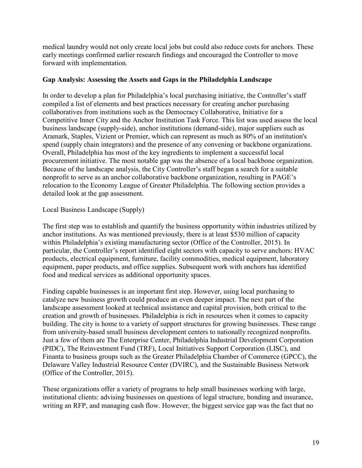medical laundry would not only create local jobs but could also reduce costs for anchors. These early meetings confirmed earlier research findings and encouraged the Controller to move forward with implementation.

### **Gap Analysis: Assessing the Assets and Gaps in the Philadelphia Landscape**

In order to develop a plan for Philadelphia's local purchasing initiative, the Controller's staff compiled a list of elements and best practices necessary for creating anchor purchasing collaboratives from institutions such as the Democracy Collaborative, Initiative for a Competitive Inner City and the Anchor Institution Task Force. This list was used assess the local business landscape (supply-side), anchor institutions (demand-side), major suppliers such as Aramark, Staples, Vizient or Premier, which can represent as much as 80% of an institution's spend (supply chain integrators) and the presence of any convening or backbone organizations. Overall, Philadelphia has most of the key ingredients to implement a successful local procurement initiative. The most notable gap was the absence of a local backbone organization. Because of the landscape analysis, the City Controller's staff began a search for a suitable nonprofit to serve as an anchor collaborative backbone organization, resulting in PAGE's relocation to the Economy League of Greater Philadelphia. The following section provides a detailed look at the gap assessment.

#### Local Business Landscape (Supply)

The first step was to establish and quantify the business opportunity within industries utilized by anchor institutions. As was mentioned previously, there is at least \$530 million of capacity within Philadelphia's existing manufacturing sector (Office of the Controller, 2015). In particular, the Controller's report identified eight sectors with capacity to serve anchors: HVAC products, electrical equipment, furniture, facility commodities, medical equipment, laboratory equipment, paper products, and office supplies. Subsequent work with anchors has identified food and medical services as additional opportunity spaces.

Finding capable businesses is an important first step. However, using local purchasing to catalyze new business growth could produce an even deeper impact. The next part of the landscape assessment looked at technical assistance and capital provision, both critical to the creation and growth of businesses. Philadelphia is rich in resources when it comes to capacity building. The city is home to a variety of support structures for growing businesses. These range from university-based small business development centers to nationally recognized nonprofits. Just a few of them are The Enterprise Center, Philadelphia Industrial Development Corporation (PIDC), The Reinvestment Fund (TRF), Local Initiatives Support Corporation (LISC), and Finanta to business groups such as the Greater Philadelphia Chamber of Commerce (GPCC), the Delaware Valley Industrial Resource Center (DVIRC), and the Sustainable Business Network (Office of the Controller, 2015).

These organizations offer a variety of programs to help small businesses working with large, institutional clients: advising businesses on questions of legal structure, bonding and insurance, writing an RFP, and managing cash flow. However, the biggest service gap was the fact that no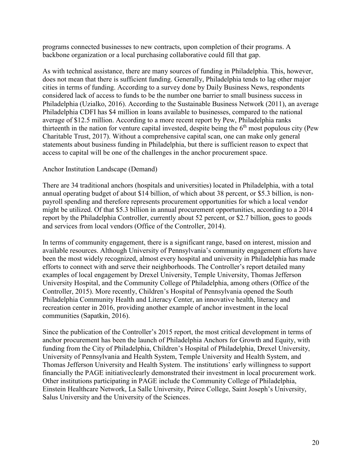programs connected businesses to new contracts, upon completion of their programs. A backbone organization or a local purchasing collaborative could fill that gap.

As with technical assistance, there are many sources of funding in Philadelphia. This, however, does not mean that there is sufficient funding. Generally, Philadelphia tends to lag other major cities in terms of funding. According to a survey done by Daily Business News, respondents considered lack of access to funds to be the number one barrier to small business success in Philadelphia (Uzialko, 2016). According to the Sustainable Business Network (2011), an average Philadelphia CDFI has \$4 million in loans available to businesses, compared to the national average of \$12.5 million. According to a more recent report by Pew, Philadelphia ranks thirteenth in the nation for venture capital invested, despite being the  $6<sup>th</sup>$  most populous city (Pew Charitable Trust, 2017). Without a comprehensive capital scan, one can make only general statements about business funding in Philadelphia, but there is sufficient reason to expect that access to capital will be one of the challenges in the anchor procurement space.

#### Anchor Institution Landscape (Demand)

There are 34 traditional anchors (hospitals and universities) located in Philadelphia, with a total annual operating budget of about \$14 billion, of which about 38 percent, or \$5.3 billion, is nonpayroll spending and therefore represents procurement opportunities for which a local vendor might be utilized. Of that \$5.3 billion in annual procurement opportunities, according to a 2014 report by the Philadelphia Controller, currently about 52 percent, or \$2.7 billion, goes to goods and services from local vendors (Office of the Controller, 2014).

In terms of community engagement, there is a significant range, based on interest, mission and available resources. Although University of Pennsylvania's community engagement efforts have been the most widely recognized, almost every hospital and university in Philadelphia has made efforts to connect with and serve their neighborhoods. The Controller's report detailed many examples of local engagement by Drexel University, Temple University, Thomas Jefferson University Hospital, and the Community College of Philadelphia, among others (Office of the Controller, 2015). More recently, Children's Hospital of Pennsylvania opened the South Philadelphia Community Health and Literacy Center, an innovative health, literacy and recreation center in 2016, providing another example of anchor investment in the local communities (Sapatkin, 2016).

Since the publication of the Controller's 2015 report, the most critical development in terms of anchor procurement has been the launch of Philadelphia Anchors for Growth and Equity, with funding from the City of Philadelphia, Children's Hospital of Philadelphia, Drexel University, University of Pennsylvania and Health System, Temple University and Health System, and Thomas Jefferson University and Health System. The institutions' early willingness to support financially the PAGE initiativeclearly demonstrated their investment in local procurement work. Other institutions participating in PAGE include the Community College of Philadelphia, Einstein Healthcare Network, La Salle University, Peirce College, Saint Joseph's University, Salus University and the University of the Sciences.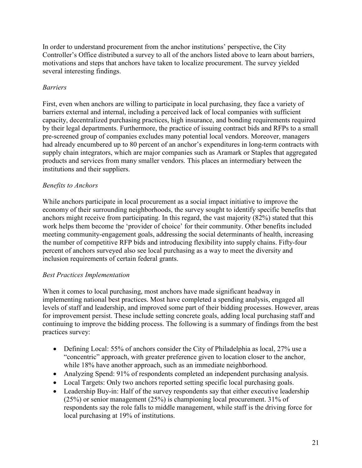In order to understand procurement from the anchor institutions' perspective, the City Controller's Office distributed a survey to all of the anchors listed above to learn about barriers, motivations and steps that anchors have taken to localize procurement. The survey yielded several interesting findings.

# *Barriers*

First, even when anchors are willing to participate in local purchasing, they face a variety of barriers external and internal, including a perceived lack of local companies with sufficient capacity, decentralized purchasing practices, high insurance, and bonding requirements required by their legal departments. Furthermore, the practice of issuing contract bids and RFPs to a small pre-screened group of companies excludes many potential local vendors. Moreover, managers had already encumbered up to 80 percent of an anchor's expenditures in long-term contracts with supply chain integrators, which are major companies such as Aramark or Staples that aggregated products and services from many smaller vendors. This places an intermediary between the institutions and their suppliers.

# *Benefits to Anchors*

While anchors participate in local procurement as a social impact initiative to improve the economy of their surrounding neighborhoods, the survey sought to identify specific benefits that anchors might receive from participating. In this regard, the vast majority (82%) stated that this work helps them become the 'provider of choice' for their community. Other benefits included meeting community-engagement goals, addressing the social determinants of health, increasing the number of competitive RFP bids and introducing flexibility into supply chains. Fifty-four percent of anchors surveyed also see local purchasing as a way to meet the diversity and inclusion requirements of certain federal grants.

## *Best Practices Implementation*

When it comes to local purchasing, most anchors have made significant headway in implementing national best practices. Most have completed a spending analysis, engaged all levels of staff and leadership, and improved some part of their bidding processes. However, areas for improvement persist. These include setting concrete goals, adding local purchasing staff and continuing to improve the bidding process. The following is a summary of findings from the best practices survey:

- Defining Local: 55% of anchors consider the City of Philadelphia as local, 27% use a "concentric" approach, with greater preference given to location closer to the anchor, while 18% have another approach, such as an immediate neighborhood.
- Analyzing Spend: 91% of respondents completed an independent purchasing analysis.
- Local Targets: Only two anchors reported setting specific local purchasing goals.
- Leadership Buy-in: Half of the survey respondents say that either executive leadership (25%) or senior management (25%) is championing local procurement. 31% of respondents say the role falls to middle management, while staff is the driving force for local purchasing at 19% of institutions.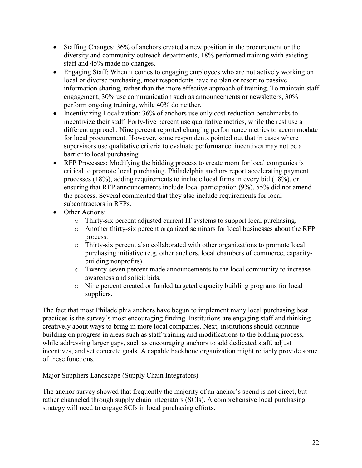- Staffing Changes:  $36\%$  of anchors created a new position in the procurement or the diversity and community outreach departments, 18% performed training with existing staff and 45% made no changes.
- Engaging Staff: When it comes to engaging employees who are not actively working on local or diverse purchasing, most respondents have no plan or resort to passive information sharing, rather than the more effective approach of training. To maintain staff engagement, 30% use communication such as announcements or newsletters, 30% perform ongoing training, while 40% do neither.
- Incentivizing Localization: 36% of anchors use only cost-reduction benchmarks to incentivize their staff. Forty-five percent use qualitative metrics, while the rest use a different approach. Nine percent reported changing performance metrics to accommodate for local procurement. However, some respondents pointed out that in cases where supervisors use qualitative criteria to evaluate performance, incentives may not be a barrier to local purchasing.
- RFP Processes: Modifying the bidding process to create room for local companies is critical to promote local purchasing. Philadelphia anchors report accelerating payment processes (18%), adding requirements to include local firms in every bid (18%), or ensuring that RFP announcements include local participation (9%). 55% did not amend the process. Several commented that they also include requirements for local subcontractors in RFPs.
- Other Actions:
	- o Thirty-six percent adjusted current IT systems to support local purchasing.
	- o Another thirty-six percent organized seminars for local businesses about the RFP process.
	- o Thirty-six percent also collaborated with other organizations to promote local purchasing initiative (e.g. other anchors, local chambers of commerce, capacitybuilding nonprofits).
	- o Twenty-seven percent made announcements to the local community to increase awareness and solicit bids.
	- o Nine percent created or funded targeted capacity building programs for local suppliers.

The fact that most Philadelphia anchors have begun to implement many local purchasing best practices is the survey's most encouraging finding. Institutions are engaging staff and thinking creatively about ways to bring in more local companies. Next, institutions should continue building on progress in areas such as staff training and modifications to the bidding process, while addressing larger gaps, such as encouraging anchors to add dedicated staff, adjust incentives, and set concrete goals. A capable backbone organization might reliably provide some of these functions.

Major Suppliers Landscape (Supply Chain Integrators)

The anchor survey showed that frequently the majority of an anchor's spend is not direct, but rather channeled through supply chain integrators (SCIs). A comprehensive local purchasing strategy will need to engage SCIs in local purchasing efforts.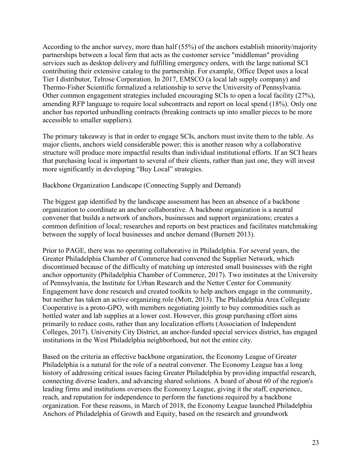According to the anchor survey, more than half (55%) of the anchors establish minority/majority partnerships between a local firm that acts as the customer service "middleman" providing services such as desktop delivery and fulfilling emergency orders, with the large national SCI contributing their extensive catalog to the partnership. For example, Office Depot uses a local Tier I distributor, Telrose Corporation. In 2017, EMSCO (a local lab supply company) and Thermo-Fisher Scientific formalized a relationship to serve the University of Pennsylvania. Other common engagement strategies included encouraging SCIs to open a local facility (27%), amending RFP language to require local subcontracts and report on local spend (18%). Only one anchor has reported unbundling contracts (breaking contracts up into smaller pieces to be more accessible to smaller suppliers).

The primary takeaway is that in order to engage SCIs, anchors must invite them to the table. As major clients, anchors wield considerable power; this is another reason why a collaborative structure will produce more impactful results than individual institutional efforts. If an SCI hears that purchasing local is important to several of their clients, rather than just one, they will invest more significantly in developing "Buy Local" strategies.

Backbone Organization Landscape (Connecting Supply and Demand)

The biggest gap identified by the landscape assessment has been an absence of a backbone organization to coordinate an anchor collaborative. A backbone organization is a neutral convener that builds a network of anchors, businesses and support organizations; creates a common definition of local; researches and reports on best practices and facilitates matchmaking between the supply of local businesses and anchor demand (Burnett 2013).

Prior to PAGE, there was no operating collaborative in Philadelphia. For several years, the Greater Philadelphia Chamber of Commerce had convened the Supplier Network, which discontinued because of the difficulty of matching up interested small businesses with the right anchor opportunity (Philadelphia Chamber of Commerce, 2017). Two institutes at the University of Pennsylvania, the Institute for Urban Research and the Netter Center for Community Engagement have done research and created toolkits to help anchors engage in the community, but neither has taken an active organizing role (Mott, 2013). The Philadelphia Area Collegiate Cooperative is a proto-GPO, with members negotiating jointly to buy commodities such as bottled water and lab supplies at a lower cost. However, this group purchasing effort aims primarily to reduce costs, rather than any localization efforts (Association of Independent Colleges, 2017). University City District, an anchor-funded special services district, has engaged institutions in the West Philadelphia neighborhood, but not the entire city.

Based on the criteria an effective backbone organization, the Economy League of Greater Philadelphia is a natural for the role of a neutral convener. The Economy League has a long history of addressing critical issues facing Greater Philadelphia by providing impactful research, connecting diverse leaders, and advancing shared solutions. A board of about 60 of the region's leading firms and institutions oversees the Economy League, giving it the staff, experience, reach, and reputation for independence to perform the functions required by a backbone organization. For these reasons, in March of 2018, the Economy League launched Philadelphia Anchors of Philadelphia of Growth and Equity, based on the research and groundwork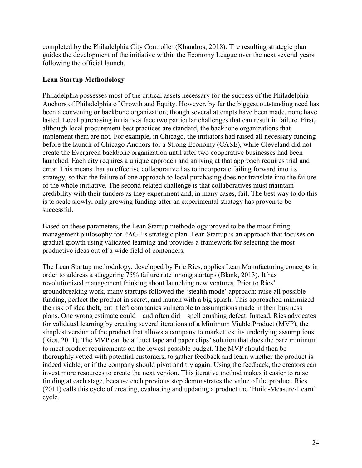completed by the Philadelphia City Controller (Khandros, 2018). The resulting strategic plan guides the development of the initiative within the Economy League over the next several years following the official launch.

#### **Lean Startup Methodology**

Philadelphia possesses most of the critical assets necessary for the success of the Philadelphia Anchors of Philadelphia of Growth and Equity. However, by far the biggest outstanding need has been a convening or backbone organization; though several attempts have been made, none have lasted. Local purchasing initiatives face two particular challenges that can result in failure. First, although local procurement best practices are standard, the backbone organizations that implement them are not. For example, in Chicago, the initiators had raised all necessary funding before the launch of Chicago Anchors for a Strong Economy (CASE), while Cleveland did not create the Evergreen backbone organization until after two cooperative businesses had been launched. Each city requires a unique approach and arriving at that approach requires trial and error. This means that an effective collaborative has to incorporate failing forward into its strategy, so that the failure of one approach to local purchasing does not translate into the failure of the whole initiative. The second related challenge is that collaboratives must maintain credibility with their funders as they experiment and, in many cases, fail. The best way to do this is to scale slowly, only growing funding after an experimental strategy has proven to be successful.

Based on these parameters, the Lean Startup methodology proved to be the most fitting management philosophy for PAGE's strategic plan. Lean Startup is an approach that focuses on gradual growth using validated learning and provides a framework for selecting the most productive ideas out of a wide field of contenders.

The Lean Startup methodology, developed by Eric Ries, applies Lean Manufacturing concepts in order to address a staggering 75% failure rate among startups (Blank, 2013). It has revolutionized management thinking about launching new ventures. Prior to Ries' groundbreaking work, many startups followed the 'stealth mode' approach: raise all possible funding, perfect the product in secret, and launch with a big splash. This approached minimized the risk of idea theft, but it left companies vulnerable to assumptions made in their business plans. One wrong estimate could—and often did—spell crushing defeat. Instead, Ries advocates for validated learning by creating several iterations of a Minimum Viable Product (MVP), the simplest version of the product that allows a company to market test its underlying assumptions (Ries, 2011). The MVP can be a 'duct tape and paper clips' solution that does the bare minimum to meet product requirements on the lowest possible budget. The MVP should then be thoroughly vetted with potential customers, to gather feedback and learn whether the product is indeed viable, or if the company should pivot and try again. Using the feedback, the creators can invest more resources to create the next version. This iterative method makes it easier to raise funding at each stage, because each previous step demonstrates the value of the product. Ries (2011) calls this cycle of creating, evaluating and updating a product the 'Build-Measure-Learn' cycle.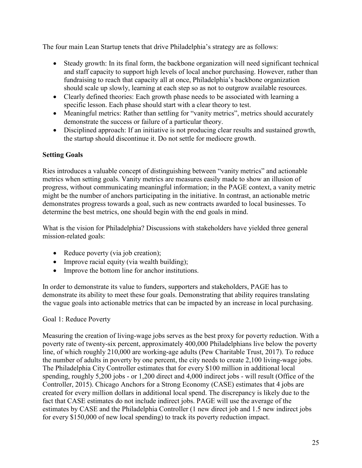The four main Lean Startup tenets that drive Philadelphia's strategy are as follows:

- Steady growth: In its final form, the backbone organization will need significant technical and staff capacity to support high levels of local anchor purchasing. However, rather than fundraising to reach that capacity all at once, Philadelphia's backbone organization should scale up slowly, learning at each step so as not to outgrow available resources.
- Clearly defined theories: Each growth phase needs to be associated with learning a specific lesson. Each phase should start with a clear theory to test.
- Meaningful metrics: Rather than settling for "vanity metrics", metrics should accurately demonstrate the success or failure of a particular theory.
- Disciplined approach: If an initiative is not producing clear results and sustained growth, the startup should discontinue it. Do not settle for mediocre growth.

# **Setting Goals**

Ries introduces a valuable concept of distinguishing between "vanity metrics" and actionable metrics when setting goals. Vanity metrics are measures easily made to show an illusion of progress, without communicating meaningful information; in the PAGE context, a vanity metric might be the number of anchors participating in the initiative. In contrast, an actionable metric demonstrates progress towards a goal, such as new contracts awarded to local businesses. To determine the best metrics, one should begin with the end goals in mind.

What is the vision for Philadelphia? Discussions with stakeholders have yielded three general mission-related goals:

- Reduce poverty (via job creation);
- Improve racial equity (via wealth building);
- Improve the bottom line for anchor institutions.

In order to demonstrate its value to funders, supporters and stakeholders, PAGE has to demonstrate its ability to meet these four goals. Demonstrating that ability requires translating the vague goals into actionable metrics that can be impacted by an increase in local purchasing.

# Goal 1: Reduce Poverty

Measuring the creation of living-wage jobs serves as the best proxy for poverty reduction. With a poverty rate of twenty-six percent, approximately 400,000 Philadelphians live below the poverty line, of which roughly 210,000 are working-age adults (Pew Charitable Trust, 2017). To reduce the number of adults in poverty by one percent, the city needs to create 2,100 living-wage jobs. The Philadelphia City Controller estimates that for every \$100 million in additional local spending, roughly 5,200 jobs - or 1,200 direct and 4,000 indirect jobs - will result (Office of the Controller, 2015). Chicago Anchors for a Strong Economy (CASE) estimates that 4 jobs are created for every million dollars in additional local spend. The discrepancy is likely due to the fact that CASE estimates do not include indirect jobs. PAGE will use the average of the estimates by CASE and the Philadelphia Controller (1 new direct job and 1.5 new indirect jobs for every \$150,000 of new local spending) to track its poverty reduction impact.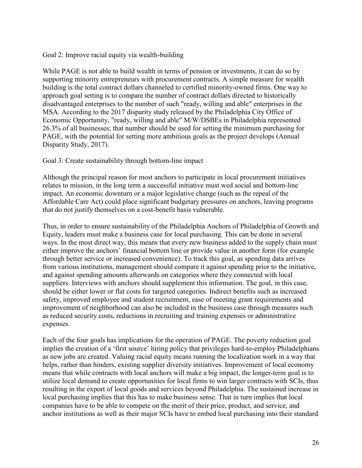Goal 2: Improve racial equity via wealth-building

While PAGE is not able to build wealth in terms of pension or investments, it can do so by supporting minority entrepreneurs with procurement contracts. A simple measure for wealth building is the total contract dollars channeled to certified minority-owned firms. One way to approach goal setting is to compare the number of contract dollars directed to historically disadvantaged enterprises to the number of such "ready, willing and able" enterprises in the MSA. According to the 2017 disparity study released by the Philadelphia City Office of Economic Opportunity, "ready, willing and able" M/W/DSBEs in Philadelphia represented 26.3% of all businesses; that number should be used for setting the minimum purchasing for PAGE, with the potential for setting more ambitious goals as the project develops (Annual Disparity Study, 2017).

#### Goal 3: Create sustainability through bottom-line impact

Although the principal reason for most anchors to participate in local procurement initiatives relates to mission, in the long term a successful initiative must wed social and bottom-line impact. An economic downturn or a major legislative change (such as the repeal of the Affordable Care Act) could place significant budgetary pressures on anchors, leaving programs that do not justify themselves on a cost-benefit basis vulnerable.

Thus, in order to ensure sustainability of the Philadelphia Anchors of Philadelphia of Growth and Equity, leaders must make a business case for local purchasing. This can be done in several ways. In the most direct way, this means that every new business added to the supply chain must either improve the anchors' financial bottom line or provide value in another form (for example through better service or increased convenience). To track this goal, as spending data arrives from various institutions, management should compare it against spending prior to the initiative, and against spending amounts afterwards on categories where they connected with local suppliers. Interviews with anchors should supplement this information. The goal, in this case, should be either lower or flat costs for targeted categories. Indirect benefits such as increased safety, improved employee and student recruitment, ease of meeting grant requirements and improvement of neighborhood can also be included in the business case through measures such as reduced security costs, reductions in recruiting and training expenses or administrative expenses.

Each of the four goals has implications for the operation of PAGE. The poverty reduction goal implies the creation of a 'first source' hiring policy that privileges hard-to-employ Philadelphians as new jobs are created. Valuing racial equity means running the localization work in a way that helps, rather than hinders, existing supplier diversity initiatives. Improvement of local economy means that while contracts with local anchors will make a big impact, the longer-term goal is to utilize local demand to create opportunities for local firms to win larger contracts with SCIs, thus resulting in the export of local goods and services beyond Philadelphia. The sustained increase in local purchasing implies that this has to make business sense. That in turn implies that local companies have to be able to compete on the merit of their price, product, and service, and anchor institutions as well as their major SCIs have to embed local purchasing into their standard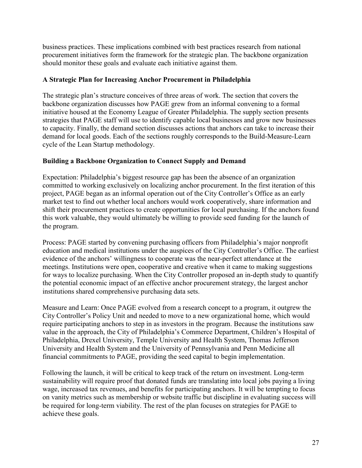business practices. These implications combined with best practices research from national procurement initiatives form the framework for the strategic plan. The backbone organization should monitor these goals and evaluate each initiative against them.

## **A Strategic Plan for Increasing Anchor Procurement in Philadelphia**

The strategic plan's structure conceives of three areas of work. The section that covers the backbone organization discusses how PAGE grew from an informal convening to a formal initiative housed at the Economy League of Greater Philadelphia. The supply section presents strategies that PAGE staff will use to identify capable local businesses and grow new businesses to capacity. Finally, the demand section discusses actions that anchors can take to increase their demand for local goods. Each of the sections roughly corresponds to the Build-Measure-Learn cycle of the Lean Startup methodology.

# **Building a Backbone Organization to Connect Supply and Demand**

Expectation: Philadelphia's biggest resource gap has been the absence of an organization committed to working exclusively on localizing anchor procurement. In the first iteration of this project, PAGE began as an informal operation out of the City Controller's Office as an early market test to find out whether local anchors would work cooperatively, share information and shift their procurement practices to create opportunities for local purchasing. If the anchors found this work valuable, they would ultimately be willing to provide seed funding for the launch of the program.

Process: PAGE started by convening purchasing officers from Philadelphia's major nonprofit education and medical institutions under the auspices of the City Controller's Office. The earliest evidence of the anchors' willingness to cooperate was the near-perfect attendance at the meetings. Institutions were open, cooperative and creative when it came to making suggestions for ways to localize purchasing. When the City Controller proposed an in-depth study to quantify the potential economic impact of an effective anchor procurement strategy, the largest anchor institutions shared comprehensive purchasing data sets.

Measure and Learn: Once PAGE evolved from a research concept to a program, it outgrew the City Controller's Policy Unit and needed to move to a new organizational home, which would require participating anchors to step in as investors in the program. Because the institutions saw value in the approach, the City of Philadelphia's Commerce Department, Children's Hospital of Philadelphia, Drexel University, Temple University and Health System, Thomas Jefferson University and Health System and the University of Pennsylvania and Penn Medicine all financial commitments to PAGE, providing the seed capital to begin implementation.

Following the launch, it will be critical to keep track of the return on investment. Long-term sustainability will require proof that donated funds are translating into local jobs paying a living wage, increased tax revenues, and benefits for participating anchors. It will be tempting to focus on vanity metrics such as membership or website traffic but discipline in evaluating success will be required for long-term viability. The rest of the plan focuses on strategies for PAGE to achieve these goals.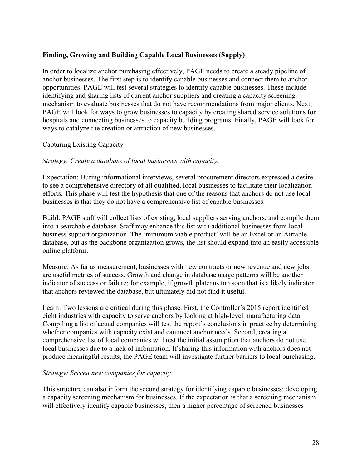## **Finding, Growing and Building Capable Local Businesses (Supply)**

In order to localize anchor purchasing effectively, PAGE needs to create a steady pipeline of anchor businesses. The first step is to identify capable businesses and connect them to anchor opportunities. PAGE will test several strategies to identify capable businesses. These include identifying and sharing lists of current anchor suppliers and creating a capacity screening mechanism to evaluate businesses that do not have recommendations from major clients. Next, PAGE will look for ways to grow businesses to capacity by creating shared service solutions for hospitals and connecting businesses to capacity building programs. Finally, PAGE will look for ways to catalyze the creation or attraction of new businesses.

## Capturing Existing Capacity

#### *Strategy: Create a database of local businesses with capacity.*

Expectation: During informational interviews, several procurement directors expressed a desire to see a comprehensive directory of all qualified, local businesses to facilitate their localization efforts. This phase will test the hypothesis that one of the reasons that anchors do not use local businesses is that they do not have a comprehensive list of capable businesses.

Build: PAGE staff will collect lists of existing, local suppliers serving anchors, and compile them into a searchable database. Staff may enhance this list with additional businesses from local business support organization. The 'minimum viable product' will be an Excel or an Airtable database, but as the backbone organization grows, the list should expand into an easily accessible online platform.

Measure: As far as measurement, businesses with new contracts or new revenue and new jobs are useful metrics of success. Growth and change in database usage patterns will be another indicator of success or failure; for example, if growth plateaus too soon that is a likely indicator that anchors reviewed the database, but ultimately did not find it useful.

Learn: Two lessons are critical during this phase. First, the Controller's 2015 report identified eight industries with capacity to serve anchors by looking at high-level manufacturing data. Compiling a list of actual companies will test the report's conclusions in practice by determining whether companies with capacity exist and can meet anchor needs. Second, creating a comprehensive list of local companies will test the initial assumption that anchors do not use local businesses due to a lack of information. If sharing this information with anchors does not produce meaningful results, the PAGE team will investigate further barriers to local purchasing.

#### *Strategy: Screen new companies for capacity*

This structure can also inform the second strategy for identifying capable businesses: developing a capacity screening mechanism for businesses. If the expectation is that a screening mechanism will effectively identify capable businesses, then a higher percentage of screened businesses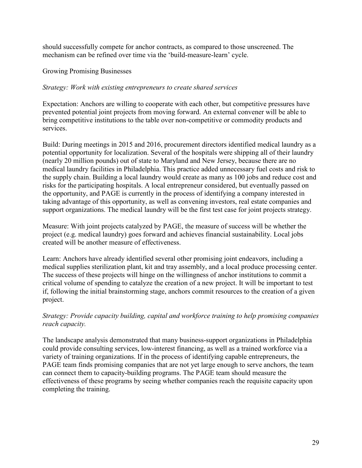should successfully compete for anchor contracts, as compared to those unscreened. The mechanism can be refined over time via the 'build-measure-learn' cycle.

Growing Promising Businesses

### *Strategy: Work with existing entrepreneurs to create shared services*

Expectation: Anchors are willing to cooperate with each other, but competitive pressures have prevented potential joint projects from moving forward. An external convener will be able to bring competitive institutions to the table over non-competitive or commodity products and services.

Build: During meetings in 2015 and 2016, procurement directors identified medical laundry as a potential opportunity for localization. Several of the hospitals were shipping all of their laundry (nearly 20 million pounds) out of state to Maryland and New Jersey, because there are no medical laundry facilities in Philadelphia. This practice added unnecessary fuel costs and risk to the supply chain. Building a local laundry would create as many as 100 jobs and reduce cost and risks for the participating hospitals. A local entrepreneur considered, but eventually passed on the opportunity, and PAGE is currently in the process of identifying a company interested in taking advantage of this opportunity, as well as convening investors, real estate companies and support organizations. The medical laundry will be the first test case for joint projects strategy.

Measure: With joint projects catalyzed by PAGE, the measure of success will be whether the project (e.g. medical laundry) goes forward and achieves financial sustainability. Local jobs created will be another measure of effectiveness.

Learn: Anchors have already identified several other promising joint endeavors, including a medical supplies sterilization plant, kit and tray assembly, and a local produce processing center. The success of these projects will hinge on the willingness of anchor institutions to commit a critical volume of spending to catalyze the creation of a new project. It will be important to test if, following the initial brainstorming stage, anchors commit resources to the creation of a given project.

## *Strategy: Provide capacity building, capital and workforce training to help promising companies reach capacity.*

The landscape analysis demonstrated that many business-support organizations in Philadelphia could provide consulting services, low-interest financing, as well as a trained workforce via a variety of training organizations. If in the process of identifying capable entrepreneurs, the PAGE team finds promising companies that are not yet large enough to serve anchors, the team can connect them to capacity-building programs. The PAGE team should measure the effectiveness of these programs by seeing whether companies reach the requisite capacity upon completing the training.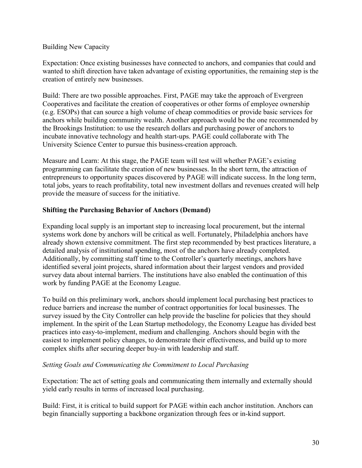#### Building New Capacity

Expectation: Once existing businesses have connected to anchors, and companies that could and wanted to shift direction have taken advantage of existing opportunities, the remaining step is the creation of entirely new businesses.

Build: There are two possible approaches. First, PAGE may take the approach of Evergreen Cooperatives and facilitate the creation of cooperatives or other forms of employee ownership (e.g. ESOPs) that can source a high volume of cheap commodities or provide basic services for anchors while building community wealth. Another approach would be the one recommended by the Brookings Institution: to use the research dollars and purchasing power of anchors to incubate innovative technology and health start-ups. PAGE could collaborate with The University Science Center to pursue this business-creation approach.

Measure and Learn: At this stage, the PAGE team will test will whether PAGE's existing programming can facilitate the creation of new businesses. In the short term, the attraction of entrepreneurs to opportunity spaces discovered by PAGE will indicate success. In the long term, total jobs, years to reach profitability, total new investment dollars and revenues created will help provide the measure of success for the initiative.

#### **Shifting the Purchasing Behavior of Anchors (Demand)**

Expanding local supply is an important step to increasing local procurement, but the internal systems work done by anchors will be critical as well. Fortunately, Philadelphia anchors have already shown extensive commitment. The first step recommended by best practices literature, a detailed analysis of institutional spending, most of the anchors have already completed. Additionally, by committing staff time to the Controller's quarterly meetings, anchors have identified several joint projects, shared information about their largest vendors and provided survey data about internal barriers. The institutions have also enabled the continuation of this work by funding PAGE at the Economy League.

To build on this preliminary work, anchors should implement local purchasing best practices to reduce barriers and increase the number of contract opportunities for local businesses. The survey issued by the City Controller can help provide the baseline for policies that they should implement. In the spirit of the Lean Startup methodology, the Economy League has divided best practices into easy-to-implement, medium and challenging. Anchors should begin with the easiest to implement policy changes, to demonstrate their effectiveness, and build up to more complex shifts after securing deeper buy-in with leadership and staff.

#### *Setting Goals and Communicating the Commitment to Local Purchasing*

Expectation: The act of setting goals and communicating them internally and externally should yield early results in terms of increased local purchasing.

Build: First, it is critical to build support for PAGE within each anchor institution. Anchors can begin financially supporting a backbone organization through fees or in-kind support.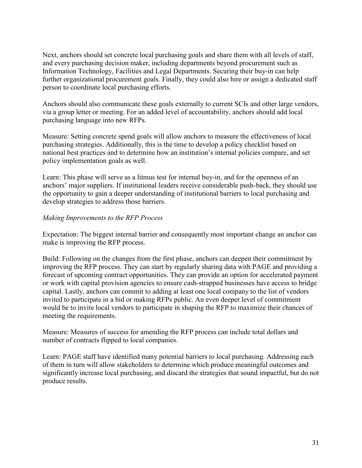Next, anchors should set concrete local purchasing goals and share them with all levels of staff, and every purchasing decision maker, including departments beyond procurement such as Information Technology, Facilities and Legal Departments. Securing their buy-in can help further organizational procurement goals. Finally, they could also hire or assign a dedicated staff person to coordinate local purchasing efforts.

Anchors should also communicate these goals externally to current SCIs and other large vendors, via a group letter or meeting. For an added level of accountability, anchors should add local purchasing language into new RFPs.

Measure: Setting concrete spend goals will allow anchors to measure the effectiveness of local purchasing strategies. Additionally, this is the time to develop a policy checklist based on national best practices and to determine how an institution's internal policies compare, and set policy implementation goals as well.

Learn: This phase will serve as a litmus test for internal buy-in, and for the openness of an anchors' major suppliers. If institutional leaders receive considerable push-back, they should use the opportunity to gain a deeper understanding of institutional barriers to local purchasing and develop strategies to address those barriers.

#### *Making Improvements to the RFP Process*

Expectation: The biggest internal barrier and consequently most important change an anchor can make is improving the RFP process.

Build: Following on the changes from the first phase, anchors can deepen their commitment by improving the RFP process. They can start by regularly sharing data with PAGE and providing a forecast of upcoming contract opportunities. They can provide an option for accelerated payment or work with capital provision agencies to ensure cash-strapped businesses have access to bridge capital. Lastly, anchors can commit to adding at least one local company to the list of vendors invited to participate in a bid or making RFPs public. An even deeper level of commitment would be to invite local vendors to participate in shaping the RFP to maximize their chances of meeting the requirements.

Measure: Measures of success for amending the RFP process can include total dollars and number of contracts flipped to local companies.

Learn: PAGE staff have identified many potential barriers to local purchasing. Addressing each of them in turn will allow stakeholders to determine which produce meaningful outcomes and significantly increase local purchasing, and discard the strategies that sound impactful, but do not produce results.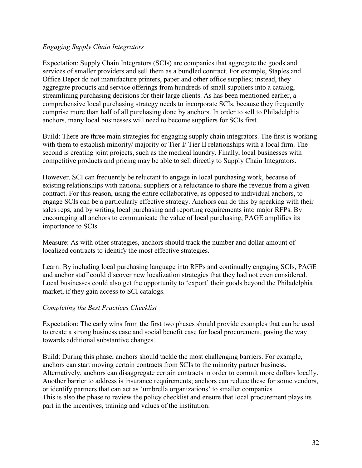### *Engaging Supply Chain Integrators*

Expectation: Supply Chain Integrators (SCIs) are companies that aggregate the goods and services of smaller providers and sell them as a bundled contract. For example, Staples and Office Depot do not manufacture printers, paper and other office supplies; instead, they aggregate products and service offerings from hundreds of small suppliers into a catalog, streamlining purchasing decisions for their large clients. As has been mentioned earlier, a comprehensive local purchasing strategy needs to incorporate SCIs, because they frequently comprise more than half of all purchasing done by anchors. In order to sell to Philadelphia anchors, many local businesses will need to become suppliers for SCIs first.

Build: There are three main strategies for engaging supply chain integrators. The first is working with them to establish minority/ majority or Tier I/ Tier II relationships with a local firm. The second is creating joint projects, such as the medical laundry. Finally, local businesses with competitive products and pricing may be able to sell directly to Supply Chain Integrators.

However, SCI can frequently be reluctant to engage in local purchasing work, because of existing relationships with national suppliers or a reluctance to share the revenue from a given contract. For this reason, using the entire collaborative, as opposed to individual anchors, to engage SCIs can be a particularly effective strategy. Anchors can do this by speaking with their sales reps, and by writing local purchasing and reporting requirements into major RFPs. By encouraging all anchors to communicate the value of local purchasing, PAGE amplifies its importance to SCIs.

Measure: As with other strategies, anchors should track the number and dollar amount of localized contracts to identify the most effective strategies.

Learn: By including local purchasing language into RFPs and continually engaging SCIs, PAGE and anchor staff could discover new localization strategies that they had not even considered. Local businesses could also get the opportunity to 'export' their goods beyond the Philadelphia market, if they gain access to SCI catalogs.

## *Completing the Best Practices Checklist*

Expectation: The early wins from the first two phases should provide examples that can be used to create a strong business case and social benefit case for local procurement, paving the way towards additional substantive changes.

Build: During this phase, anchors should tackle the most challenging barriers. For example, anchors can start moving certain contracts from SCIs to the minority partner business. Alternatively, anchors can disaggregate certain contracts in order to commit more dollars locally. Another barrier to address is insurance requirements; anchors can reduce these for some vendors, or identify partners that can act as 'umbrella organizations' to smaller companies. This is also the phase to review the policy checklist and ensure that local procurement plays its part in the incentives, training and values of the institution.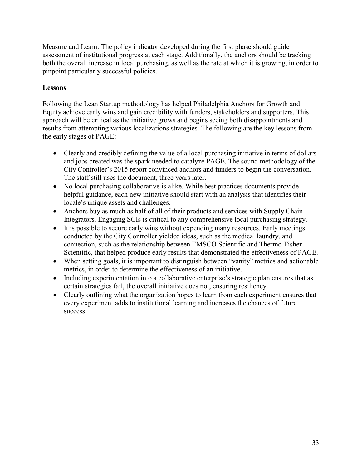Measure and Learn: The policy indicator developed during the first phase should guide assessment of institutional progress at each stage. Additionally, the anchors should be tracking both the overall increase in local purchasing, as well as the rate at which it is growing, in order to pinpoint particularly successful policies.

## **Lessons**

Following the Lean Startup methodology has helped Philadelphia Anchors for Growth and Equity achieve early wins and gain credibility with funders, stakeholders and supporters. This approach will be critical as the initiative grows and begins seeing both disappointments and results from attempting various localizations strategies. The following are the key lessons from the early stages of PAGE:

- Clearly and credibly defining the value of a local purchasing initiative in terms of dollars and jobs created was the spark needed to catalyze PAGE. The sound methodology of the City Controller's 2015 report convinced anchors and funders to begin the conversation. The staff still uses the document, three years later.
- No local purchasing collaborative is alike. While best practices documents provide helpful guidance, each new initiative should start with an analysis that identifies their locale's unique assets and challenges.
- Anchors buy as much as half of all of their products and services with Supply Chain Integrators. Engaging SCIs is critical to any comprehensive local purchasing strategy.
- It is possible to secure early wins without expending many resources. Early meetings conducted by the City Controller yielded ideas, such as the medical laundry, and connection, such as the relationship between EMSCO Scientific and Thermo-Fisher Scientific, that helped produce early results that demonstrated the effectiveness of PAGE.
- When setting goals, it is important to distinguish between "vanity" metrics and actionable metrics, in order to determine the effectiveness of an initiative.
- Including experimentation into a collaborative enterprise's strategic plan ensures that as certain strategies fail, the overall initiative does not, ensuring resiliency.
- Clearly outlining what the organization hopes to learn from each experiment ensures that every experiment adds to institutional learning and increases the chances of future success.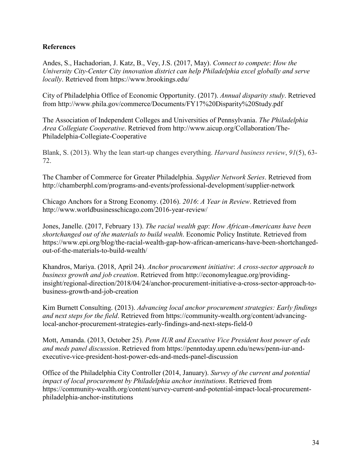## **References**

Andes, S., Hachadorian, J. Katz, B., Vey, J.S. (2017, May). *Connect to compete*: *How the University City-Center City innovation district can help Philadelphia excel globally and serve locally*. Retrieved from https://www.brookings.edu/

City of Philadelphia Office of Economic Opportunity. (2017). *Annual disparity study*. Retrieved from http://www.phila.gov/commerce/Documents/FY17%20Disparity%20Study.pdf

The Association of Independent Colleges and Universities of Pennsylvania. *The Philadelphia Area Collegiate Cooperative*. Retrieved from http://www.aicup.org/Collaboration/The-Philadelphia-Collegiate-Cooperative

Blank, S. (2013). Why the lean start-up changes everything. *Harvard business review*, *91*(5), 63- 72.

The Chamber of Commerce for Greater Philadelphia. *Supplier Network Series*. Retrieved from http://chamberphl.com/programs-and-events/professional-development/supplier-network

Chicago Anchors for a Strong Economy. (2016). *2016*: *A Year in Review*. Retrieved from http://www.worldbusinesschicago.com/2016-year-review/

Jones, Janelle. (2017, February 13). *The racial wealth gap*: *How African-Americans have been shortchanged out of the materials to build wealth*. Economic Policy Institute. Retrieved from https://www.epi.org/blog/the-racial-wealth-gap-how-african-americans-have-been-shortchangedout-of-the-materials-to-build-wealth/

Khandros, Mariya. (2018, April 24). *Anchor procurement initiative*: *A cross-sector approach to business growth and job creation*. Retrieved from http://economyleague.org/providinginsight/regional-direction/2018/04/24/anchor-procurement-initiative-a-cross-sector-approach-tobusiness-growth-and-job-creation

Kim Burnett Consulting. (2013). *Advancing local anchor procurement strategies: Early findings and next steps for the field*. Retrieved from https://community-wealth.org/content/advancinglocal-anchor-procurement-strategies-early-findings-and-next-steps-field-0

Mott, Amanda. (2013, October 25). *Penn IUR and Executive Vice President host power of eds and meds panel discussion*. Retrieved from https://penntoday.upenn.edu/news/penn-iur-andexecutive-vice-president-host-power-eds-and-meds-panel-discussion

Office of the Philadelphia City Controller (2014, January). *Survey of the current and potential impact of local procurement by Philadelphia anchor institutions*. Retrieved from https://community-wealth.org/content/survey-current-and-potential-impact-local-procurementphiladelphia-anchor-institutions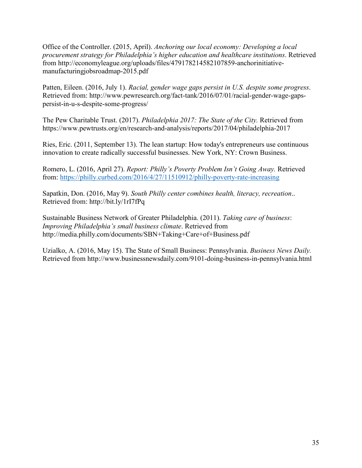Office of the Controller. (2015, April). *Anchoring our local economy: Developing a local procurement strategy for Philadelphia's higher education and healthcare institutions*. Retrieved from http://economyleague.org/uploads/files/479178214582107859-anchorinitiativemanufacturingjobsroadmap-2015.pdf

Patten, Eileen. (2016, July 1). *Racial, gender wage gaps persist in U.S. despite some progress*. Retrieved from: http://www.pewresearch.org/fact-tank/2016/07/01/racial-gender-wage-gapspersist-in-u-s-despite-some-progress/

The Pew Charitable Trust. (2017). *Philadelphia 2017: The State of the City.* Retrieved from https://www.pewtrusts.org/en/research-and-analysis/reports/2017/04/philadelphia-2017

Ries, Eric. (2011, September 13). The lean startup: How today's entrepreneurs use continuous innovation to create radically successful businesses. New York, NY: Crown Business.

Romero, L. (2016, April 27). *Report: Philly's Poverty Problem Isn't Going Away.* Retrieved from: https://philly.curbed.com/2016/4/27/11510912/philly-poverty-rate-increasing

Sapatkin, Don. (2016, May 9). *South Philly center combines health, literacy, recreation*.. Retrieved from: http://bit.ly/1rI7fPq

Sustainable Business Network of Greater Philadelphia. (2011). *Taking care of business*: *Improving Philadelphia's small business climate*. Retrieved from http://media.philly.com/documents/SBN+Taking+Care+of+Business.pdf

Uzialko, A. (2016, May 15). The State of Small Business: Pennsylvania. *Business News Daily.*  Retrieved from http://www.businessnewsdaily.com/9101-doing-business-in-pennsylvania.html